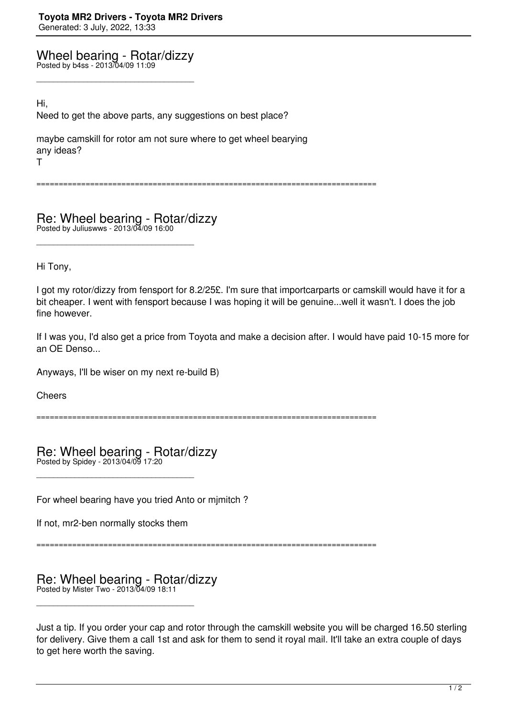Wheel bearing - Rotar/dizzy

\_\_\_\_\_\_\_\_\_\_\_\_\_\_\_\_\_\_\_\_\_\_\_\_\_\_\_\_\_\_\_\_\_\_\_\_\_

Posted by b4ss - 2013/04/09 11:09

Hi,

Need to get the above parts, any suggestions on best place?

maybe camskill for rotor am not sure where to get wheel bearying any ideas? T

============================================================================

Re: Wheel bearing - Rotar/dizzy Posted by Juliuswws - 2013/04/09 16:00

\_\_\_\_\_\_\_\_\_\_\_\_\_\_\_\_\_\_\_\_\_\_\_\_\_\_\_\_\_\_\_\_\_\_\_\_\_

Hi Tony,

I got my rotor/dizzy from fensport for 8.2/25£. I'm sure that importcarparts or camskill would have it for a bit cheaper. I went with fensport because I was hoping it will be genuine...well it wasn't. I does the job fine however.

If I was you, I'd also get a price from Toyota and make a decision after. I would have paid 10-15 more for an OE Denso...

Anyways, I'll be wiser on my next re-build B)

**Cheers** 

============================================================================

Re: Wheel bearing - Rotar/dizzy Posted by Spidey - 2013/04/09 17:20

For wheel bearing have you tried Anto or mjmitch ?

If not, mr2-ben normally stocks them

\_\_\_\_\_\_\_\_\_\_\_\_\_\_\_\_\_\_\_\_\_\_\_\_\_\_\_\_\_\_\_\_\_\_\_\_\_

============================================================================

Re: Wheel bearing - Rotar/dizzy Posted by Mister Two - 2013/04/09 18:11

\_\_\_\_\_\_\_\_\_\_\_\_\_\_\_\_\_\_\_\_\_\_\_\_\_\_\_\_\_\_\_\_\_\_\_\_\_

Just a tip. If you order your cap and rotor through the camskill website you will be charged 16.50 sterling for delivery. Give them a call 1st and ask for them to send it royal mail. It'll take an extra couple of days to get here worth the saving.